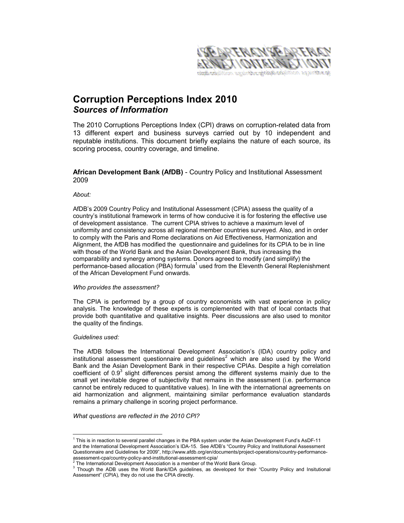

# Corruption Perceptions Index 2010 Sources of Information

The 2010 Corruptions Perceptions Index (CPI) draws on corruption-related data from 13 different expert and business surveys carried out by 10 independent and reputable institutions. This document briefly explains the nature of each source, its scoring process, country coverage, and timeline.

# African Development Bank (AfDB) - Country Policy and Institutional Assessment 2009

# About:

AfDB's 2009 Country Policy and Institutional Assessment (CPIA) assess the quality of a country's institutional framework in terms of how conducive it is for fostering the effective use of development assistance. The current CPIA strives to achieve a maximum level of uniformity and consistency across all regional member countries surveyed. Also, and in order to comply with the Paris and Rome declarations on Aid Effectiveness, Harmonization and Alignment, the AfDB has modified the questionnaire and guidelines for its CPIA to be in line with those of the World Bank and the Asian Development Bank, thus increasing the comparability and synergy among systems. Donors agreed to modify (and simplify) the performance-based allocation (PBA) formula<sup>1</sup> used from the Eleventh General Replenishment of the African Development Fund onwards.

### Who provides the assessment?

The CPIA is performed by a group of country economists with vast experience in policy analysis. The knowledge of these experts is complemented with that of local contacts that provide both quantitative and qualitative insights. Peer discussions are also used to monitor the quality of the findings.

# Guidelines used:

The AfDB follows the International Development Association's (IDA) country policy and institutional assessment questionnaire and guidelines<sup>2</sup> which are also used by the World Bank and the Asian Development Bank in their respective CPIAs. Despite a high correlation coefficient of 0.9 $3$  slight differences persist among the different systems mainly due to the small yet inevitable degree of subjectivity that remains in the assessment (i.e. performance cannot be entirely reduced to quantitative values). In line with the international agreements on aid harmonization and alignment, maintaining similar performance evaluation standards remains a primary challenge in scoring project performance.

What questions are reflected in the 2010 CPI?

 1 This is in reaction to several parallel changes in the PBA system under the Asian Development Fund's AsDF-11 and the International Development Association's IDA-15. See AfDB's "Country Policy and Institutional Assessment Questionnaire and Guidelines for 2009", http://www.afdb.org/en/documents/project-operations/country-performanceassessment-cpa/country-policy-and-institutional-assessment-cpia/ 2

The International Development Association is a member of the World Bank Group.

<sup>&</sup>lt;sup>3</sup> Though the ADB uses the World Bank/IDA guidelines, as developed for their "Country Policy and Insitutional Assessment" (CPIA), they do not use the CPIA directly.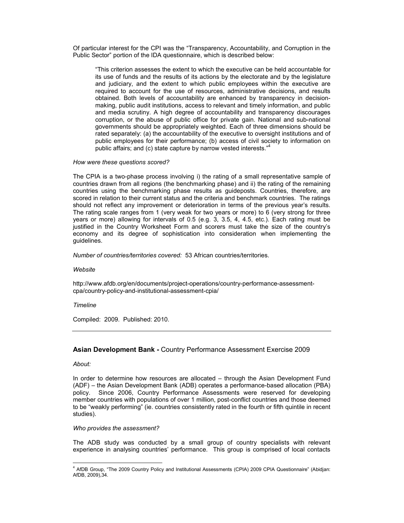Of particular interest for the CPI was the "Transparency, Accountability, and Corruption in the Public Sector" portion of the IDA questionnaire, which is described below:

"This criterion assesses the extent to which the executive can be held accountable for its use of funds and the results of its actions by the electorate and by the legislature and judiciary, and the extent to which public employees within the executive are required to account for the use of resources, administrative decisions, and results obtained. Both levels of accountability are enhanced by transparency in decisionmaking, public audit institutions, access to relevant and timely information, and public and media scrutiny. A high degree of accountability and transparency discourages corruption, or the abuse of public office for private gain. National and sub-national governments should be appropriately weighted. Each of three dimensions should be rated separately: (a) the accountability of the executive to oversight institutions and of public employees for their performance; (b) access of civil society to information on public affairs; and (c) state capture by narrow vested interests."<sup>4</sup>

# How were these questions scored?

The CPIA is a two-phase process involving i) the rating of a small representative sample of countries drawn from all regions (the benchmarking phase) and ii) the rating of the remaining countries using the benchmarking phase results as guideposts. Countries, therefore, are scored in relation to their current status and the criteria and benchmark countries. The ratings should not reflect any improvement or deterioration in terms of the previous year's results. The rating scale ranges from 1 (very weak for two years or more) to 6 (very strong for three years or more) allowing for intervals of 0.5 (e.g. 3, 3.5, 4, 4.5, etc.). Each rating must be justified in the Country Worksheet Form and scorers must take the size of the country's economy and its degree of sophistication into consideration when implementing the guidelines.

Number of countries/territories covered: 53 African countries/territories.

**Website** 

http://www.afdb.org/en/documents/project-operations/country-performance-assessmentcpa/country-policy-and-institutional-assessment-cpia/

# Timeline

Compiled: 2009. Published: 2010.

# Asian Development Bank - Country Performance Assessment Exercise 2009

About:

In order to determine how resources are allocated – through the Asian Development Fund (ADF) – the Asian Development Bank (ADB) operates a performance-based allocation (PBA) policy. Since 2006, Country Performance Assessments were reserved for developing member countries with populations of over 1 million, post-conflict countries and those deemed to be "weakly performing" (ie. countries consistently rated in the fourth or fifth quintile in recent studies).

### Who provides the assessment?

The ADB study was conducted by a small group of country specialists with relevant experience in analysing countries' performance. This group is comprised of local contacts

 4 AfDB Group, "The 2009 Country Policy and Institutional Assessments (CPIA) 2009 CPIA Questionnaire" (Abidjan: AfDB, 2009),34.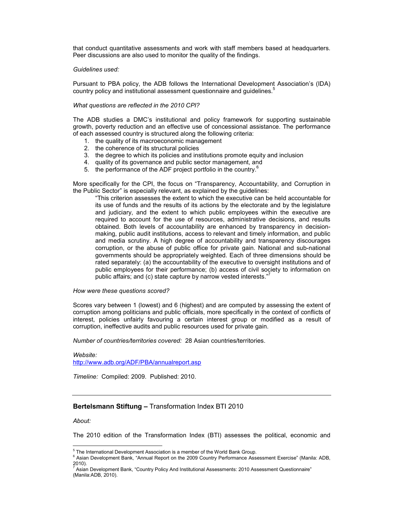that conduct quantitative assessments and work with staff members based at headquarters. Peer discussions are also used to monitor the quality of the findings.

### Guidelines used:

Pursuant to PBA policy, the ADB follows the International Development Association's (IDA) country policy and institutional assessment questionnaire and guidelines.<sup>5</sup>

# What questions are reflected in the 2010 CPI?

The ADB studies a DMC's institutional and policy framework for supporting sustainable growth, poverty reduction and an effective use of concessional assistance. The performance of each assessed country is structured along the following criteria:

- 1. the quality of its macroeconomic management
- 2. the coherence of its structural policies
- 3. the degree to which its policies and institutions promote equity and inclusion
- 4. quality of its governance and public sector management, and
- 5. the performance of the ADF project portfolio in the country. $6$

More specifically for the CPI, the focus on "Transparency, Accountability, and Corruption in the Public Sector" is especially relevant, as explained by the guidelines:

"This criterion assesses the extent to which the executive can be held accountable for its use of funds and the results of its actions by the electorate and by the legislature and judiciary, and the extent to which public employees within the executive are required to account for the use of resources, administrative decisions, and results obtained. Both levels of accountability are enhanced by transparency in decisionmaking, public audit institutions, access to relevant and timely information, and public and media scrutiny. A high degree of accountability and transparency discourages corruption, or the abuse of public office for private gain. National and sub-national governments should be appropriately weighted. Each of three dimensions should be rated separately: (a) the accountability of the executive to oversight institutions and of public employees for their performance; (b) access of civil society to information on public affairs; and (c) state capture by narrow vested interests."

#### How were these questions scored?

Scores vary between 1 (lowest) and 6 (highest) and are computed by assessing the extent of corruption among politicians and public officials, more specifically in the context of conflicts of interest, policies unfairly favouring a certain interest group or modified as a result of corruption, ineffective audits and public resources used for private gain.

Number of countries/territories covered: 28 Asian countries/territories.

#### Website:

http://www.adb.org/ADF/PBA/annualreport.asp

Timeline: Compiled: 2009. Published: 2010.

# Bertelsmann Stiftung – Transformation Index BTI 2010

# About:

The 2010 edition of the Transformation Index (BTI) assesses the political, economic and

 5 The International Development Association is a member of the World Bank Group.

<sup>&</sup>lt;sup>6</sup> Asian Development Bank, "Annual Report on the 2009 Country Performance Assessment Exercise" (Manila: ADB, 2010).

<sup>7</sup> Asian Development Bank, "Country Policy And Institutional Assessments: 2010 Assessment Questionnaire" (Manila:ADB, 2010).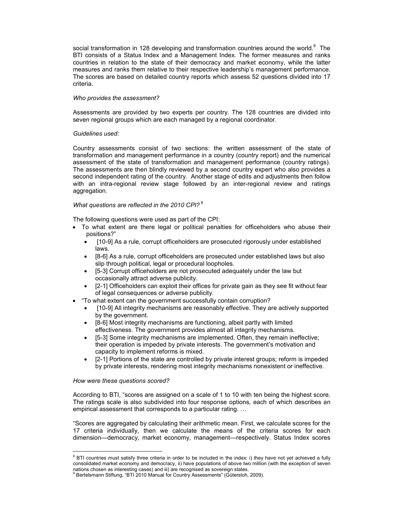social transformation in 128 developing and transformation countries around the world.<sup>8</sup> The BTI consists of a Status Index and a Management Index. The former measures and ranks countries in relation to the state of their democracy and market economy, while the latter measures and ranks them relative to their respective leadership's management performance. The scores are based on detailed country reports which assess 52 questions divided into 17 criteria.

# Who provides the assessment?

Assessments are provided by two experts per country. The 128 countries are divided into seven regional groups which are each managed by a regional coordinator.

# Guidelines used:

Country assessments consist of two sections: the written assessment of the state of transformation and management performance in a country (country report) and the numerical assessment of the state of transformation and management performance (country ratings). The assessments are then blindly reviewed by a second country expert who also provides a second independent rating of the country. Another stage of edits and adjustments then follow with an intra-regional review stage followed by an inter-regional review and ratings aggregation.

# What questions are reflected in the 2010 CPI?  $9$

The following questions were used as part of the CPI:

- To what extent are there legal or political penalties for officeholders who abuse their positions?"
	- [10-9] As a rule, corrupt officeholders are prosecuted rigorously under established laws.
	- [8-6] As a rule, corrupt officeholders are prosecuted under established laws but also slip through political, legal or procedural loopholes.
	- [5-3] Corrupt officeholders are not prosecuted adequately under the law but occasionally attract adverse publicity.
	- [2-1] Officeholders can exploit their offices for private gain as they see fit without fear of legal consequences or adverse publicity.
- "To what extent can the government successfully contain corruption?
	- [10-9] All integrity mechanisms are reasonably effective. They are actively supported by the government.
	- [8-6] Most integrity mechanisms are functioning, albeit partly with limited effectiveness. The government provides almost all integrity mechanisms.
	- [5-3] Some integrity mechanisms are implemented. Often, they remain ineffective; their operation is impeded by private interests. The government's motivation and capacity to implement reforms is mixed.
	- [2-1] Portions of the state are controlled by private interest groups; reform is impeded by private interests, rendering most integrity mechanisms nonexistent or ineffective.

How were these questions scored?

According to BTI, "scores are assigned on a scale of 1 to 10 with ten being the highest score. The ratings scale is also subdivided into four response options, each of which describes an empirical assessment that corresponds to a particular rating. ...

"Scores are aggregated by calculating their arithmetic mean. First, we calculate scores for the 17 criteria individually, then we calculate the means of the criteria scores for each dimension—democracy, market economy, management—respectively. Status Index scores

<sup>&</sup>lt;sup>8</sup> BTI countries must satisfy three criteria in order to be included in the index: i) they have not yet achieved a fully consolidated market economy and democracy, ii) have populations of above two million (with the exception of seven nations chosen as interesting cases) and iii) are recognised as sovereign states.

<sup>9</sup> Bertelsmann Stiftung, "BTI 2010 Manual for Country Assessments" (Gütersloh, 2009).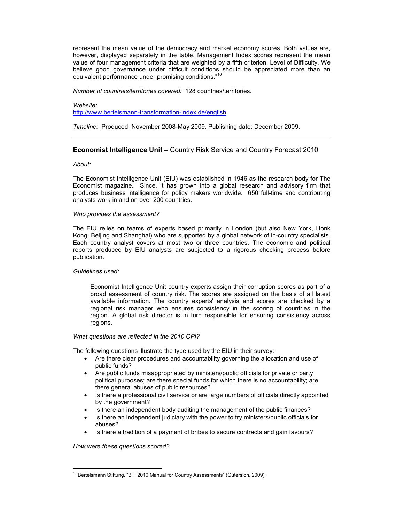represent the mean value of the democracy and market economy scores. Both values are, however, displayed separately in the table. Management Index scores represent the mean value of four management criteria that are weighted by a fifth criterion, Level of Difficulty. We believe good governance under difficult conditions should be appreciated more than an equivalent performance under promising conditions."<sup>10</sup>

Number of countries/territories covered: 128 countries/territories.

Website:

http://www.bertelsmann-transformation-index.de/english

Timeline: Produced: November 2008-May 2009. Publishing date: December 2009.

# Economist Intelligence Unit – Country Risk Service and Country Forecast 2010

# About:

The Economist Intelligence Unit (EIU) was established in 1946 as the research body for The Economist magazine. Since, it has grown into a global research and advisory firm that produces business intelligence for policy makers worldwide. 650 full-time and contributing analysts work in and on over 200 countries.

# Who provides the assessment?

The EIU relies on teams of experts based primarily in London (but also New York, Honk Kong, Beijing and Shanghai) who are supported by a global network of in-country specialists. Each country analyst covers at most two or three countries. The economic and political reports produced by EIU analysts are subjected to a rigorous checking process before publication.

# Guidelines used:

Economist Intelligence Unit country experts assign their corruption scores as part of a broad assessment of country risk. The scores are assigned on the basis of all latest available information. The country experts' analysis and scores are checked by a regional risk manager who ensures consistency in the scoring of countries in the region. A global risk director is in turn responsible for ensuring consistency across regions.

### What questions are reflected in the 2010 CPI?

The following questions illustrate the type used by the EIU in their survey:

- Are there clear procedures and accountability governing the allocation and use of public funds?
- Are public funds misappropriated by ministers/public officials for private or party political purposes; are there special funds for which there is no accountability; are there general abuses of public resources?
- Is there a professional civil service or are large numbers of officials directly appointed by the government?
- Is there an independent body auditing the management of the public finances?
- Is there an independent judiciary with the power to try ministers/public officials for abuses?
- Is there a tradition of a payment of bribes to secure contracts and gain favours?

How were these questions scored?

 $\overline{a}$ <sup>10</sup> Bertelsmann Stiftung, "BTI 2010 Manual for Country Assessments" (Gütersloh, 2009).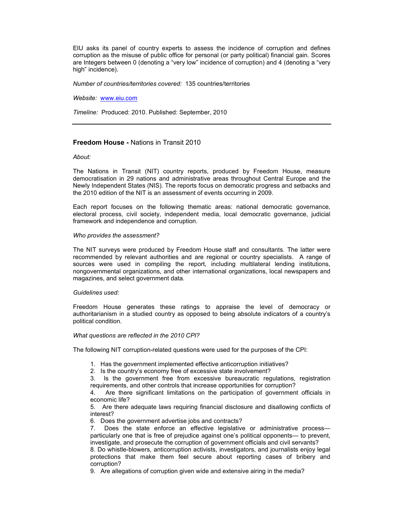EIU asks its panel of country experts to assess the incidence of corruption and defines corruption as the misuse of public office for personal (or party political) financial gain. Scores are Integers between 0 (denoting a "very low" incidence of corruption) and 4 (denoting a "very high" incidence).

Number of countries/territories covered: 135 countries/territories

Website: www.eiu.com

Timeline: Produced: 2010. Published: September, 2010

# Freedom House - Nations in Transit 2010

### About:

The Nations in Transit (NIT) country reports, produced by Freedom House, measure democratisation in 29 nations and administrative areas throughout Central Europe and the Newly Independent States (NIS). The reports focus on democratic progress and setbacks and the 2010 edition of the NIT is an assessment of events occurring in 2009.

Each report focuses on the following thematic areas: national democratic governance, electoral process, civil society, independent media, local democratic governance, judicial framework and independence and corruption.

### Who provides the assessment?

The NIT surveys were produced by Freedom House staff and consultants. The latter were recommended by relevant authorities and are regional or country specialists. A range of sources were used in compiling the report, including multilateral lending institutions, nongovernmental organizations, and other international organizations, local newspapers and magazines, and select government data.

### Guidelines used:

Freedom House generates these ratings to appraise the level of democracy or authoritarianism in a studied country as opposed to being absolute indicators of a country's political condition.

### What questions are reflected in the 2010 CPI?

The following NIT corruption-related questions were used for the purposes of the CPI:

1. Has the government implemented effective anticorruption initiatives?

2. Is the country's economy free of excessive state involvement?

3. Is the government free from excessive bureaucratic regulations, registration requirements, and other controls that increase opportunities for corruption?

4. Are there significant limitations on the participation of government officials in economic life?

5. Are there adequate laws requiring financial disclosure and disallowing conflicts of interest?

6. Does the government advertise jobs and contracts?

7. Does the state enforce an effective legislative or administrative process particularly one that is free of prejudice against one's political opponents— to prevent, investigate, and prosecute the corruption of government officials and civil servants?

8. Do whistle-blowers, anticorruption activists, investigators, and journalists enjoy legal protections that make them feel secure about reporting cases of bribery and corruption?

9. Are allegations of corruption given wide and extensive airing in the media?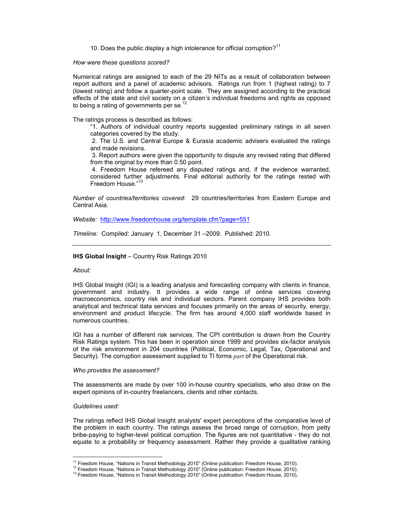10. Does the public display a high intolerance for official corruption?<sup>11</sup>

How were these questions scored?

Numerical ratings are assigned to each of the 29 NITs as a result of collaboration between report authors and a panel of academic advisors. Ratings run from 1 (highest rating) to 7 (lowest rating) and follow a quarter-point scale. They are assigned according to the practical effects of the state and civil society on a citizen's individual freedoms and rights as opposed to being a rating of governments per se.<sup>1</sup>

The ratings process is described as follows:

"1. Authors of individual country reports suggested preliminary ratings in all seven categories covered by the study.

 2. The U.S. and Central Europe & Eurasia academic advisers evaluated the ratings and made revisions.

 3. Report authors were given the opportunity to dispute any revised rating that differed from the original by more than 0.50 point.

 4. Freedom House refereed any disputed ratings and, if the evidence warranted, considered further adjustments. Final editorial authority for the ratings rested with Freedom House."<sup>13</sup>

Number of countries/territories covered: 29 countries/territories from Eastern Europe and Central Asia.

Website: http://www.freedomhouse.org/template.cfm?page=551

Timeline: Compiled: January 1, December 31 –2009. Published: 2010.

# IHS Global Insight – Country Risk Ratings 2010

### About:

IHS Global Insight (IGI) is a leading analysis and forecasting company with clients in finance, government and industry. It provides a wide range of online services covering macroeconomics, country risk and individual sectors. Parent company IHS provides both analytical and technical data services and focuses primarily on the areas of security, energy, environment and product lifecycle. The firm has around 4,000 staff worldwide based in numerous countries.

IGI has a number of different risk services. The CPI contribution is drawn from the Country Risk Ratings system. This has been in operation since 1999 and provides six-factor analysis of the risk environment in 204 countries (Political, Economic, Legal, Tax, Operational and Security). The corruption assessment supplied to TI forms part of the Operational risk.

### Who provides the assessment?

The assessments are made by over 100 in-house country specialists, who also draw on the expert opinions of in-country freelancers, clients and other contacts.

### Guidelines used:

The ratings reflect IHS Global Insight analysts' expert perceptions of the comparative level of the problem in each country. The ratings assess the broad range of corruption, from petty bribe-paying to higher-level political corruption. The figures are not quantitative - they do not equate to a probability or frequency assessment. Rather they provide a qualitative ranking

 $\overline{a}$ <sup>11</sup> Freedom House, "Nations in Transit Methodology 2010" (Online publication: Freedom House, 2010).

<sup>&</sup>lt;sup>12</sup> Freedom House, "Nations in Transit Methodology 2010" (Online publication: Freedom House, 2010).

<sup>&</sup>lt;sup>13</sup> Freedom House, "Nations in Transit Methodology 2010" (Online publication: Freedom House, 2010).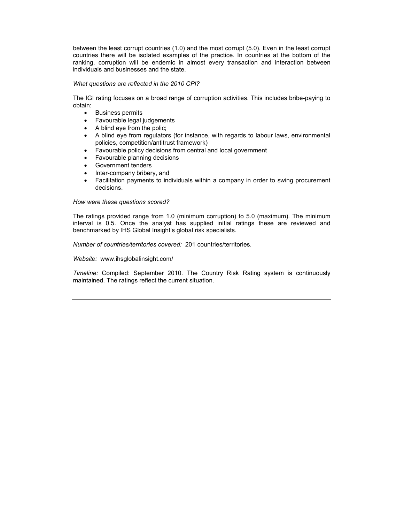between the least corrupt countries (1.0) and the most corrupt (5.0). Even in the least corrupt countries there will be isolated examples of the practice. In countries at the bottom of the ranking, corruption will be endemic in almost every transaction and interaction between individuals and businesses and the state.

# What questions are reflected in the 2010 CPI?

The IGI rating focuses on a broad range of corruption activities. This includes bribe-paying to obtain:

- Business permits
- Favourable legal judgements
- A blind eye from the polic;
- A blind eye from regulators (for instance, with regards to labour laws, environmental policies, competition/antitrust framework)
- Favourable policy decisions from central and local government
- Favourable planning decisions
- Government tenders
- Inter-company bribery, and
- Facilitation payments to individuals within a company in order to swing procurement decisions.

# How were these questions scored?

The ratings provided range from 1.0 (minimum corruption) to 5.0 (maximum). The minimum interval is 0.5. Once the analyst has supplied initial ratings these are reviewed and benchmarked by IHS Global Insight's global risk specialists.

Number of countries/territories covered: 201 countries/territories.

# Website: www.ihsglobalinsight.com/

Timeline: Compiled: September 2010. The Country Risk Rating system is continuously maintained. The ratings reflect the current situation.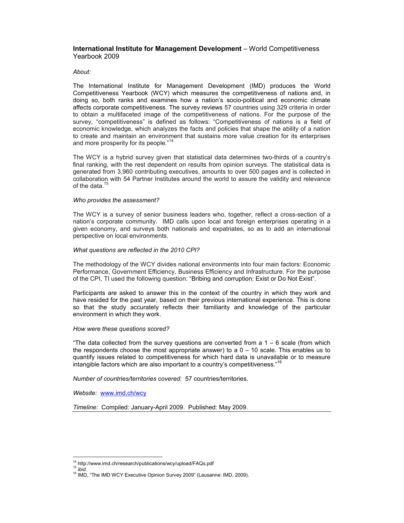# International Institute for Management Development – World Competitiveness Yearbook 2009

# About:

The International Institute for Management Development (IMD) produces the World Competitiveness Yearbook (WCY) which measures the competitiveness of nations and, in doing so, both ranks and examines how a nation's socio-political and economic climate affects corporate competitiveness. The survey reviews 57 countries using 329 criteria in order to obtain a multifaceted image of the competitiveness of nations. For the purpose of the survey, "competitiveness" is defined as follows: "Competitiveness of nations is a field of economic knowledge, which analyzes the facts and policies that shape the ability of a nation to create and maintain an environment that sustains more value creation for its enterprises and more prosperity for its people."<sup>14</sup>

The WCY is a hybrid survey given that statistical data determines two-thirds of a country's final ranking, with the rest dependent on results from opinion surveys. The statistical data is generated from 3,960 contributing executives, amounts to over 500 pages and is collected in collaboration with 54 Partner Institutes around the world to assure the validity and relevance of the data. $15$ 

### Who provides the assessment?

The WCY is a survey of senior business leaders who, together, reflect a cross-section of a nation's corporate community. IMD calls upon local and foreign enterprises operating in a given economy, and surveys both nationals and expatriates, so as to add an international perspective on local environments.

# What questions are reflected in the 2010 CPI?

The methodology of the WCY divides national environments into four main factors: Economic Performance, Government Efficiency, Business Efficiency and Infrastructure. For the purpose of the CPI, TI used the following question: "Bribing and corruption: Exist or Do Not Exist".

Participants are asked to answer this in the context of the country in which they work and have resided for the past year, based on their previous international experience. This is done so that the study accurately reflects their familiarity and knowledge of the particular environment in which they work.

# How were these questions scored?

"The data collected from the survey questions are converted from a  $1 - 6$  scale (from which the respondents choose the most appropriate answer) to a  $0 - 10$  scale. This enables us to quantify issues related to competitiveness for which hard data is unavailable or to measure intangible factors which are also important to a country's competitiveness."<sup>16</sup>

Number of countries/territories covered: 57 countries/territories.

Website: www.imd.ch/wcy

Timeline: Compiled: January-April 2009. Published: May 2009.

 $\overline{a}$ <sup>14</sup> http://www.imd.ch/research/publications/wcy/upload/FAQs.pdf

 $15$  ibid.

<sup>&</sup>lt;sup>16</sup> IMD, "The IMD WCY Executive Opinion Survey 2009" (Lausanne: IMD, 2009).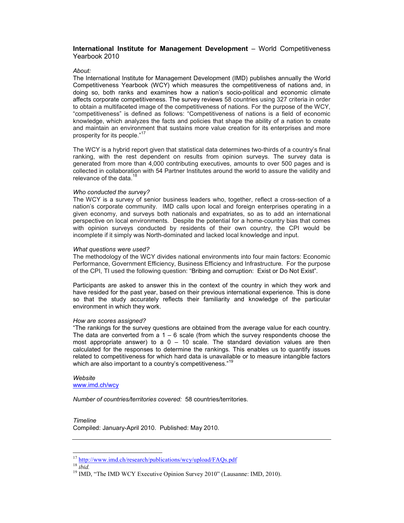# International Institute for Management Development – World Competitiveness Yearbook 2010

# About:

The International Institute for Management Development (IMD) publishes annually the World Competitiveness Yearbook (WCY) which measures the competitiveness of nations and, in doing so, both ranks and examines how a nation's socio-political and economic climate affects corporate competitiveness. The survey reviews 58 countries using 327 criteria in order to obtain a multifaceted image of the competitiveness of nations. For the purpose of the WCY, "competitiveness" is defined as follows: "Competitiveness of nations is a field of economic knowledge, which analyzes the facts and policies that shape the ability of a nation to create and maintain an environment that sustains more value creation for its enterprises and more prosperity for its people."<sup>17</sup>

The WCY is a hybrid report given that statistical data determines two-thirds of a country's final ranking, with the rest dependent on results from opinion surveys. The survey data is generated from more than 4,000 contributing executives, amounts to over 500 pages and is collected in collaboration with 54 Partner Institutes around the world to assure the validity and relevance of the data. $<sup>1</sup>$ </sup>

# Who conducted the survey?

The WCY is a survey of senior business leaders who, together, reflect a cross-section of a nation's corporate community. IMD calls upon local and foreign enterprises operating in a given economy, and surveys both nationals and expatriates, so as to add an international perspective on local environments. Despite the potential for a home-country bias that comes with opinion surveys conducted by residents of their own country, the CPI would be incomplete if it simply was North-dominated and lacked local knowledge and input.

# What questions were used?

The methodology of the WCY divides national environments into four main factors: Economic Performance, Government Efficiency, Business Efficiency and Infrastructure. For the purpose of the CPI, TI used the following question: "Bribing and corruption: Exist or Do Not Exist".

Participants are asked to answer this in the context of the country in which they work and have resided for the past year, based on their previous international experience. This is done so that the study accurately reflects their familiarity and knowledge of the particular environment in which they work.

# How are scores assigned?

"The rankings for the survey questions are obtained from the average value for each country. The data are converted from a  $1 - 6$  scale (from which the survey respondents choose the most appropriate answer) to a  $0 - 10$  scale. The standard deviation values are then calculated for the responses to determine the rankings. This enables us to quantify issues related to competitiveness for which hard data is unavailable or to measure intangible factors which are also important to a country's competitiveness."<sup>19</sup>

### Website www.imd.ch/wcy

Number of countries/territories covered: 58 countries/territories.

# Timeline

Compiled: January-April 2010. Published: May 2010.

 $18 \overline{ibid}$ .

 $\ddot{\phantom{a}}$ 

<sup>&</sup>lt;sup>17</sup> http://www.imd.ch/research/publications/wcy/upload/FAQs.pdf

<sup>&</sup>lt;sup>19</sup> IMD, "The IMD WCY Executive Opinion Survey 2010" (Lausanne: IMD, 2010).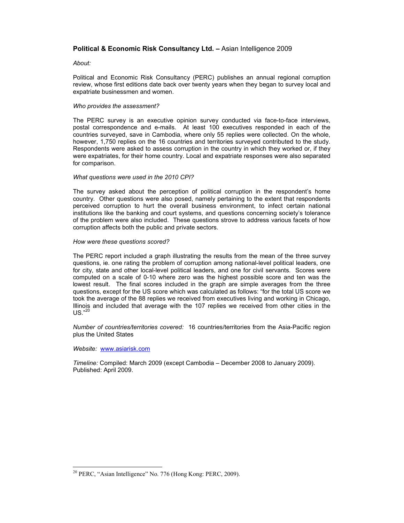# Political & Economic Risk Consultancy Ltd. – Asian Intelligence 2009

# About:

Political and Economic Risk Consultancy (PERC) publishes an annual regional corruption review, whose first editions date back over twenty years when they began to survey local and expatriate businessmen and women.

# Who provides the assessment?

The PERC survey is an executive opinion survey conducted via face-to-face interviews, postal correspondence and e-mails. At least 100 executives responded in each of the countries surveyed, save in Cambodia, where only 55 replies were collected. On the whole, however, 1,750 replies on the 16 countries and territories surveyed contributed to the study. Respondents were asked to assess corruption in the country in which they worked or, if they were expatriates, for their home country. Local and expatriate responses were also separated for comparison.

# What questions were used in the 2010 CPI?

The survey asked about the perception of political corruption in the respondent's home country. Other questions were also posed, namely pertaining to the extent that respondents perceived corruption to hurt the overall business environment, to infect certain national institutions like the banking and court systems, and questions concerning society's tolerance of the problem were also included. These questions strove to address various facets of how corruption affects both the public and private sectors.

# How were these questions scored?

The PERC report included a graph illustrating the results from the mean of the three survey questions, ie. one rating the problem of corruption among national-level political leaders, one for city, state and other local-level political leaders, and one for civil servants. Scores were computed on a scale of 0-10 where zero was the highest possible score and ten was the lowest result. The final scores included in the graph are simple averages from the three questions, except for the US score which was calculated as follows: "for the total US score we took the average of the 88 replies we received from executives living and working in Chicago, Illinois and included that average with the 107 replies we received from other cities in the  $US<sup>.20</sup>$ 

Number of countries/territories covered: 16 countries/territories from the Asia-Pacific region plus the United States

Website: www.asiarisk.com

 $\ddot{\phantom{a}}$ 

Timeline: Compiled: March 2009 (except Cambodia – December 2008 to January 2009). Published: April 2009.

<sup>&</sup>lt;sup>20</sup> PERC, "Asian Intelligence" No. 776 (Hong Kong: PERC, 2009).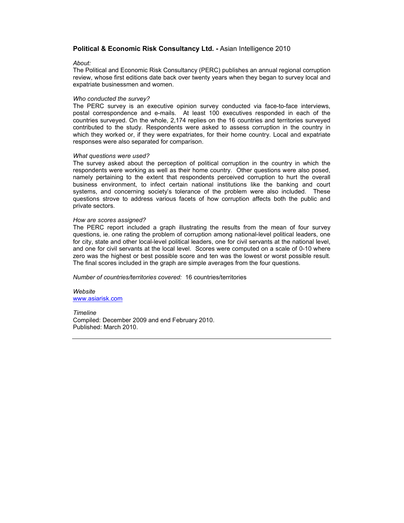# Political & Economic Risk Consultancy Ltd. - Asian Intelligence 2010

### About:

The Political and Economic Risk Consultancy (PERC) publishes an annual regional corruption review, whose first editions date back over twenty years when they began to survey local and expatriate businessmen and women.

#### Who conducted the survey?

The PERC survey is an executive opinion survey conducted via face-to-face interviews, postal correspondence and e-mails. At least 100 executives responded in each of the countries surveyed. On the whole, 2,174 replies on the 16 countries and territories surveyed contributed to the study. Respondents were asked to assess corruption in the country in which they worked or, if they were expatriates, for their home country. Local and expatriate responses were also separated for comparison.

### What questions were used?

The survey asked about the perception of political corruption in the country in which the respondents were working as well as their home country. Other questions were also posed, namely pertaining to the extent that respondents perceived corruption to hurt the overall business environment, to infect certain national institutions like the banking and court systems, and concerning society's tolerance of the problem were also included. These questions strove to address various facets of how corruption affects both the public and private sectors.

### How are scores assigned?

The PERC report included a graph illustrating the results from the mean of four survey questions, ie. one rating the problem of corruption among national-level political leaders, one for city, state and other local-level political leaders, one for civil servants at the national level, and one for civil servants at the local level. Scores were computed on a scale of 0-10 where zero was the highest or best possible score and ten was the lowest or worst possible result. The final scores included in the graph are simple averages from the four questions.

Number of countries/territories covered: 16 countries/territories

Website www.asiarisk.com

# Timeline Compiled: December 2009 and end February 2010. Published: March 2010.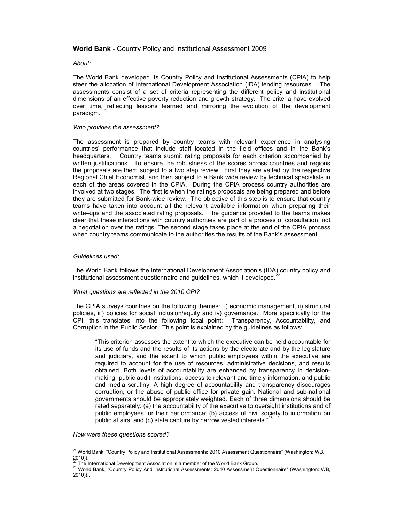# World Bank - Country Policy and Institutional Assessment 2009

# About:

The World Bank developed its Country Policy and Institutional Assessments (CPIA) to help steer the allocation of International Development Association (IDA) lending resources. "The assessments consist of a set of criteria representing the different policy and institutional dimensions of an effective poverty reduction and growth strategy. The criteria have evolved over time, reflecting lessons learned and mirroring the evolution of the development paradigm."<sup>21</sup>

# Who provides the assessment?

The assessment is prepared by country teams with relevant experience in analysing countries' performance that include staff located in the field offices and in the Bank's headquarters. Country teams submit rating proposals for each criterion accompanied by written justifications. To ensure the robustness of the scores across countries and regions the proposals are them subject to a two step review. First they are vetted by the respective Regional Chief Economist, and then subject to a Bank wide review by technical specialists in each of the areas covered in the CPIA. During the CPIA process country authorities are involved at two stages. The first is when the ratings proposals are being prepared and before they are submitted for Bank-wide review. The objective of this step is to ensure that country teams have taken into account all the relevant available information when preparing their write–ups and the associated rating proposals. The guidance provided to the teams makes clear that these interactions with country authorities are part of a process of consultation, not a negotiation over the ratings. The second stage takes place at the end of the CPIA process when country teams communicate to the authorities the results of the Bank's assessment.

# Guidelines used:

The World Bank follows the International Development Association's (IDA) country policy and institutional assessment questionnaire and guidelines, which it developed. $^{22}$ 

# What questions are reflected in the 2010 CPI?

The CPIA surveys countries on the following themes: i) economic management, ii) structural policies, iii) policies for social inclusion/equity and iv) governance. More specifically for the CPI, this translates into the following focal point: Transparency, Accountability, and Corruption in the Public Sector. This point is explained by the guidelines as follows:

"This criterion assesses the extent to which the executive can be held accountable for its use of funds and the results of its actions by the electorate and by the legislature and judiciary, and the extent to which public employees within the executive are required to account for the use of resources, administrative decisions, and results obtained. Both levels of accountability are enhanced by transparency in decisionmaking, public audit institutions, access to relevant and timely information, and public and media scrutiny. A high degree of accountability and transparency discourages corruption, or the abuse of public office for private gain. National and sub-national governments should be appropriately weighted. Each of three dimensions should be rated separately: (a) the accountability of the executive to oversight institutions and of public employees for their performance; (b) access of civil society to information on public affairs; and (c) state capture by narrow vested interests."<sup>23</sup>

How were these questions scored?

 $\overline{a}$ <sup>21</sup> World Bank, "Country Policy and Institutional Assessments: 2010 Assessment Questionnaire" (Washington: WB,  $2010$ ).

The International Development Association is a member of the World Bank Group.

<sup>23</sup> World Bank, "Country Policy And Institutional Assessments: 2010 Assessment Questionnaire" (Washington: WB, 2010))..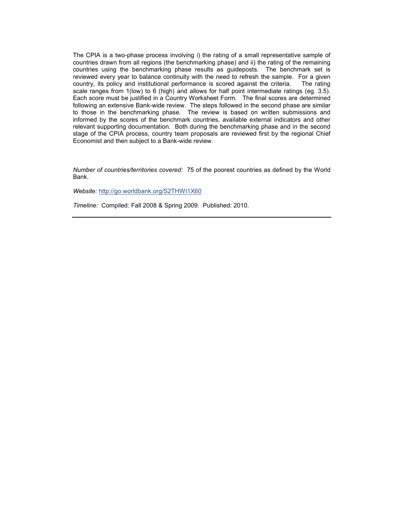The CPIA is a two-phase process involving i) the rating of a small representative sample of countries drawn from all regions (the benchmarking phase) and ii) the rating of the remaining countries using the benchmarking phase results as guideposts. The benchmark set is reviewed every year to balance continuity with the need to refresh the sample. For a given country, its policy and institutional performance is scored against the criteria. The rating scale ranges from 1(low) to 6 (high) and allows for half point intermediate ratings (eg. 3.5). Each score must be justified in a Country Worksheet Form. The final scores are determined following an extensive Bank-wide review. The steps followed in the second phase are similar to those in the benchmarking phase. The review is based on written submissions and informed by the scores of the benchmark countries, available external indicators and other relevant supporting documentation. Both during the benchmarking phase and in the second stage of the CPIA process, country team proposals are reviewed first by the regional Chief Economist and then subject to a Bank-wide review.

Number of countries/territories covered: 75 of the poorest countries as defined by the World Bank.

Website: http://go.worldbank.org/S2THWI1X60

Timeline: Compiled: Fall 2008 & Spring 2009. Published: 2010.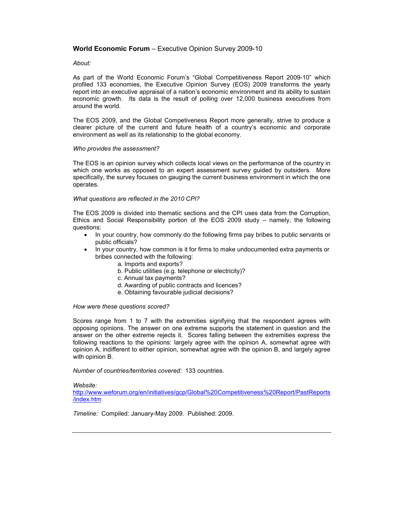# World Economic Forum – Executive Opinion Survey 2009-10

# About:

As part of the World Economic Forum's "Global Competitiveness Report 2009-10" which profiled 133 economies, the Executive Opinion Survey (EOS) 2009 transforms the yearly report into an executive appraisal of a nation's economic environment and its ability to sustain economic growth. Its data is the result of polling over 12,000 business executives from around the world.

The EOS 2009, and the Global Competiveness Report more generally, strive to produce a clearer picture of the current and future health of a country's economic and corporate environment as well as its relationship to the global economy.

# Who provides the assessment?

The EOS is an opinion survey which collects local views on the performance of the country in which one works as opposed to an expert assessment survey guided by outsiders. More specifically, the survey focuses on gauging the current business environment in which the one operates.

# What questions are reflected in the 2010 CPI?

The EOS 2009 is divided into thematic sections and the CPI uses data from the Corruption, Ethics and Social Responsibility portion of the EOS 2009 study – namely, the following questions:

- In your country, how commonly do the following firms pay bribes to public servants or public officials?
- In your country, how common is it for firms to make undocumented extra payments or bribes connected with the following:
	- a. Imports and exports?
	- b. Public utilities (e.g. telephone or electricity)?
	- c. Annual tax payments?
	- d. Awarding of public contracts and licences?
	- e. Obtaining favourable judicial decisions?

### How were these questions scored?

Scores range from 1 to 7 with the extremities signifying that the respondent agrees with opposing opinions. The answer on one extreme supports the statement in question and the answer on the other extreme rejects it. Scores falling between the extremities express the following reactions to the opinions: largely agree with the opinion A, somewhat agree with opinion A, indifferent to either opinion, somewhat agree with the opinion B, and largely agree with opinion B.

Number of countries/territories covered: 133 countries.

Website:

http://www.weforum.org/en/initiatives/gcp/Global%20Competitiveness%20Report/PastReports /index.htm

Timeline: Compiled: January-May 2009. Published: 2009.